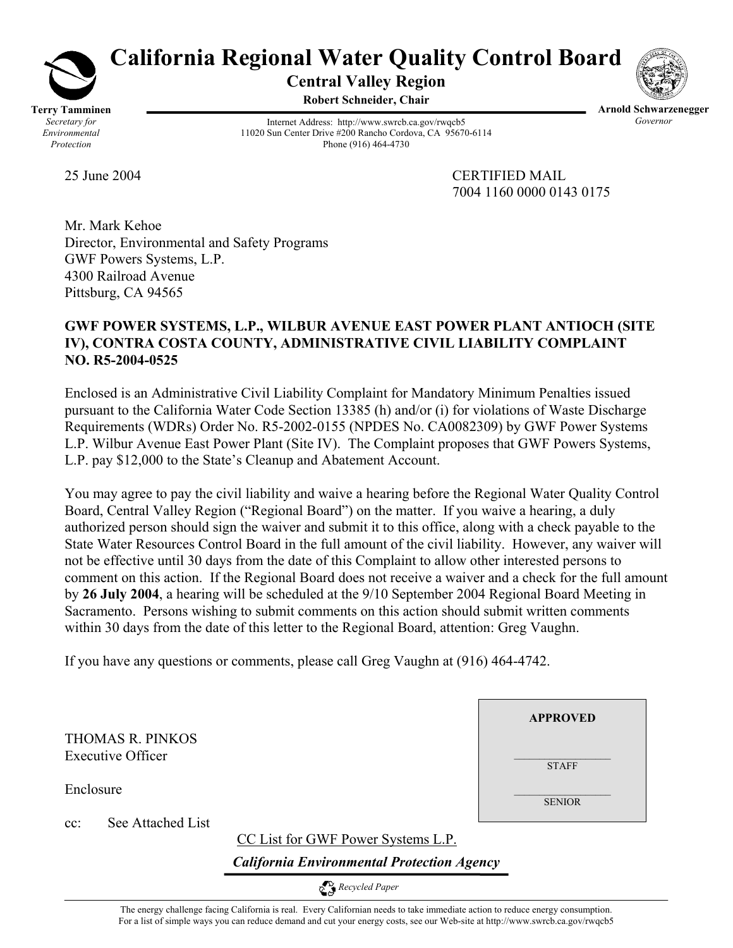

# **California Regional Water Quality Control Board Central Valley Region**

**Robert Schneider, Chair**



Internet Address: http://www.swrcb.ca.gov/rwqcb5 11020 Sun Center Drive #200 Rancho Cordova, CA 95670-6114 Phone (916) 464-4730

**Arnold Schwarzenegger**  *Governor* 

25 June 2004 CERTIFIED MAIL 7004 1160 0000 0143 0175

**APPROVED**

**STAFF** 

SENIOR

Mr. Mark Kehoe Director, Environmental and Safety Programs GWF Powers Systems, L.P. 4300 Railroad Avenue Pittsburg, CA 94565

# **GWF POWER SYSTEMS, L.P., WILBUR AVENUE EAST POWER PLANT ANTIOCH (SITE IV), CONTRA COSTA COUNTY, ADMINISTRATIVE CIVIL LIABILITY COMPLAINT NO. R5-2004-0525**

Enclosed is an Administrative Civil Liability Complaint for Mandatory Minimum Penalties issued pursuant to the California Water Code Section 13385 (h) and/or (i) for violations of Waste Discharge Requirements (WDRs) Order No. R5-2002-0155 (NPDES No. CA0082309) by GWF Power Systems L.P. Wilbur Avenue East Power Plant (Site IV). The Complaint proposes that GWF Powers Systems, L.P. pay \$12,000 to the State's Cleanup and Abatement Account.

You may agree to pay the civil liability and waive a hearing before the Regional Water Quality Control Board, Central Valley Region ("Regional Board") on the matter. If you waive a hearing, a duly authorized person should sign the waiver and submit it to this office, along with a check payable to the State Water Resources Control Board in the full amount of the civil liability. However, any waiver will not be effective until 30 days from the date of this Complaint to allow other interested persons to comment on this action. If the Regional Board does not receive a waiver and a check for the full amount by **26 July 2004**, a hearing will be scheduled at the 9/10 September 2004 Regional Board Meeting in Sacramento. Persons wishing to submit comments on this action should submit written comments within 30 days from the date of this letter to the Regional Board, attention: Greg Vaughn.

If you have any questions or comments, please call Greg Vaughn at (916) 464-4742.

THOMAS R. PINKOS Executive Officer

Enclosure

cc: See Attached List

CC List for GWF Power Systems L.P.

*California Environmental Protection Agency*

 *Recycled Paper* 

The energy challenge facing California is real. Every Californian needs to take immediate action to reduce energy consumption. For a list of simple ways you can reduce demand and cut your energy costs, see our Web-site at http://www.swrcb.ca.gov/rwqcb5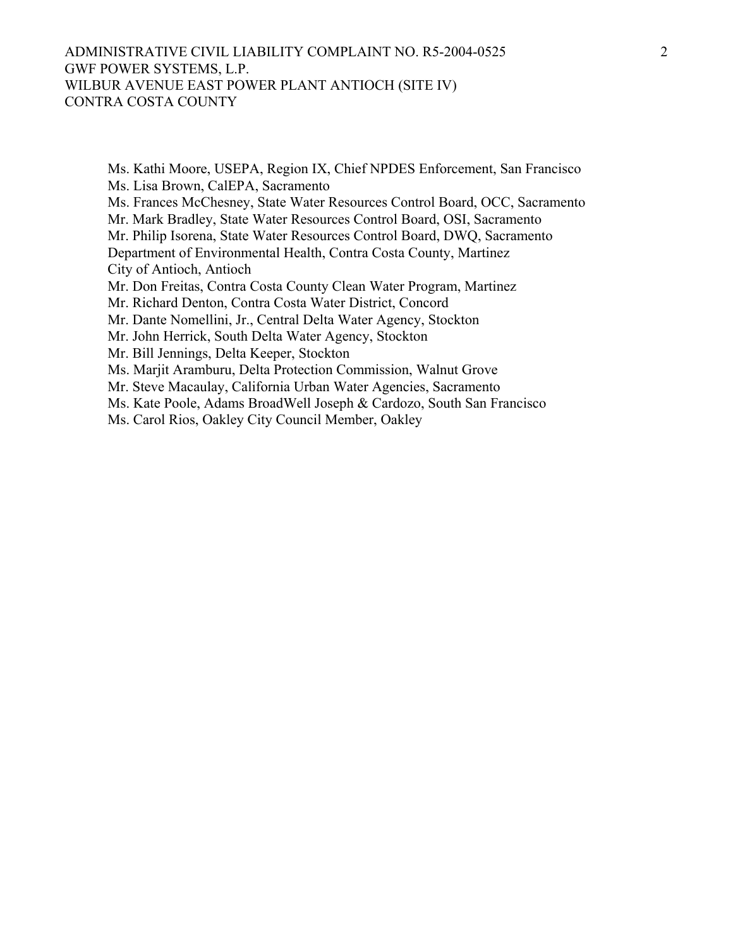#### ADMINISTRATIVE CIVIL LIABILITY COMPLAINT NO. R5-2004-0525 GWF POWER SYSTEMS, L.P. WILBUR AVENUE EAST POWER PLANT ANTIOCH (SITE IV) CONTRA COSTA COUNTY

Ms. Kathi Moore, USEPA, Region IX, Chief NPDES Enforcement, San Francisco Ms. Lisa Brown, CalEPA, Sacramento Ms. Frances McChesney, State Water Resources Control Board, OCC, Sacramento Mr. Mark Bradley, State Water Resources Control Board, OSI, Sacramento Mr. Philip Isorena, State Water Resources Control Board, DWQ, Sacramento Department of Environmental Health, Contra Costa County, Martinez City of Antioch, Antioch Mr. Don Freitas, Contra Costa County Clean Water Program, Martinez Mr. Richard Denton, Contra Costa Water District, Concord Mr. Dante Nomellini, Jr., Central Delta Water Agency, Stockton Mr. John Herrick, South Delta Water Agency, Stockton Mr. Bill Jennings, Delta Keeper, Stockton Ms. Marjit Aramburu, Delta Protection Commission, Walnut Grove Mr. Steve Macaulay, California Urban Water Agencies, Sacramento Ms. Kate Poole, Adams BroadWell Joseph & Cardozo, South San Francisco Ms. Carol Rios, Oakley City Council Member, Oakley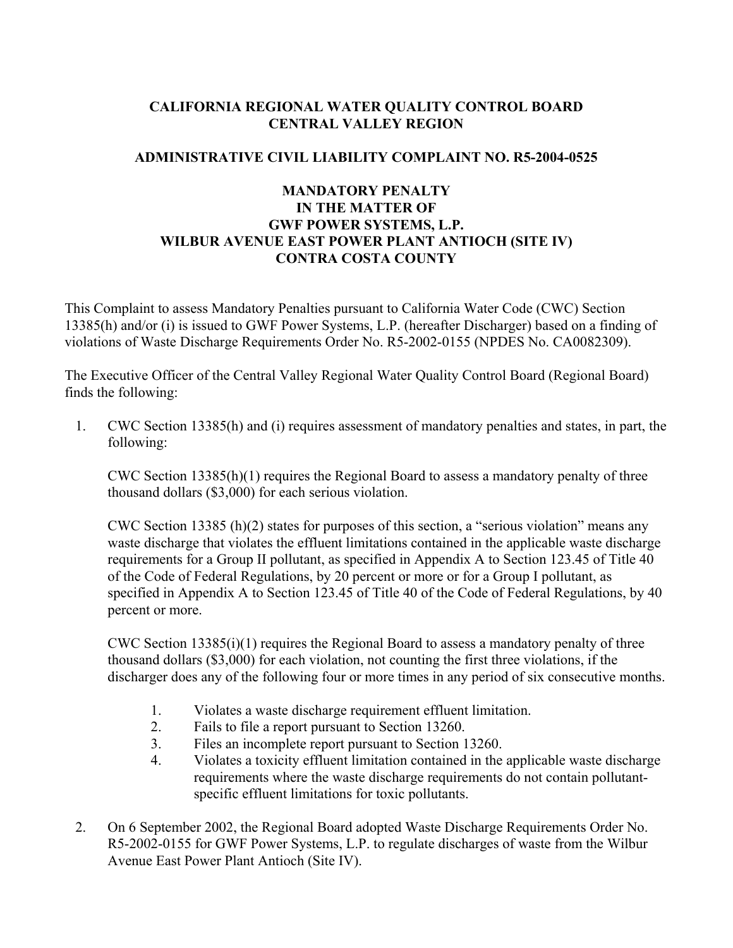#### **CALIFORNIA REGIONAL WATER QUALITY CONTROL BOARD CENTRAL VALLEY REGION**

# **ADMINISTRATIVE CIVIL LIABILITY COMPLAINT NO. R5-2004-0525**

# **MANDATORY PENALTY IN THE MATTER OF GWF POWER SYSTEMS, L.P. WILBUR AVENUE EAST POWER PLANT ANTIOCH (SITE IV) CONTRA COSTA COUNTY**

This Complaint to assess Mandatory Penalties pursuant to California Water Code (CWC) Section 13385(h) and/or (i) is issued to GWF Power Systems, L.P. (hereafter Discharger) based on a finding of violations of Waste Discharge Requirements Order No. R5-2002-0155 (NPDES No. CA0082309).

The Executive Officer of the Central Valley Regional Water Quality Control Board (Regional Board) finds the following:

1. CWC Section 13385(h) and (i) requires assessment of mandatory penalties and states, in part, the following:

CWC Section  $13385(h)(1)$  requires the Regional Board to assess a mandatory penalty of three thousand dollars (\$3,000) for each serious violation.

CWC Section 13385 (h)(2) states for purposes of this section, a "serious violation" means any waste discharge that violates the effluent limitations contained in the applicable waste discharge requirements for a Group II pollutant, as specified in Appendix A to Section 123.45 of Title 40 of the Code of Federal Regulations, by 20 percent or more or for a Group I pollutant, as specified in Appendix A to Section 123.45 of Title 40 of the Code of Federal Regulations, by 40 percent or more.

CWC Section 13385(i)(1) requires the Regional Board to assess a mandatory penalty of three thousand dollars (\$3,000) for each violation, not counting the first three violations, if the discharger does any of the following four or more times in any period of six consecutive months.

- 1. Violates a waste discharge requirement effluent limitation.
- 2. Fails to file a report pursuant to Section 13260.
- 3. Files an incomplete report pursuant to Section 13260.
- 4. Violates a toxicity effluent limitation contained in the applicable waste discharge requirements where the waste discharge requirements do not contain pollutantspecific effluent limitations for toxic pollutants.
- 2. On 6 September 2002, the Regional Board adopted Waste Discharge Requirements Order No. R5-2002-0155 for GWF Power Systems, L.P. to regulate discharges of waste from the Wilbur Avenue East Power Plant Antioch (Site IV).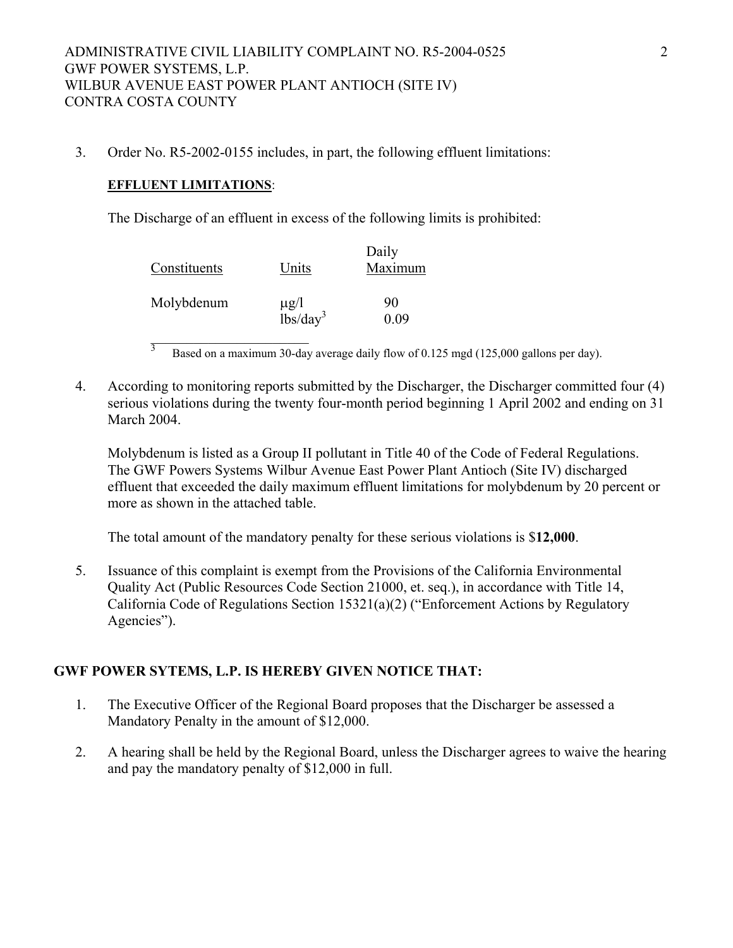3. Order No. R5-2002-0155 includes, in part, the following effluent limitations:

#### **EFFLUENT LIMITATIONS**:

The Discharge of an effluent in excess of the following limits is prohibited:

| Constituents | Units                             | Daily<br>Maximum |
|--------------|-----------------------------------|------------------|
| Molybdenum   | $\mu$ g/l<br>lbs/day <sup>3</sup> | 90<br>0.09       |

 $\overline{3}$  Based on a maximum 30-day average daily flow of 0.125 mgd (125,000 gallons per day).

4. According to monitoring reports submitted by the Discharger, the Discharger committed four (4) serious violations during the twenty four-month period beginning 1 April 2002 and ending on 31 March 2004.

Molybdenum is listed as a Group II pollutant in Title 40 of the Code of Federal Regulations. The GWF Powers Systems Wilbur Avenue East Power Plant Antioch (Site IV) discharged effluent that exceeded the daily maximum effluent limitations for molybdenum by 20 percent or more as shown in the attached table.

The total amount of the mandatory penalty for these serious violations is \$**12,000**.

5. Issuance of this complaint is exempt from the Provisions of the California Environmental Quality Act (Public Resources Code Section 21000, et. seq.), in accordance with Title 14, California Code of Regulations Section 15321(a)(2) ("Enforcement Actions by Regulatory Agencies").

## **GWF POWER SYTEMS, L.P. IS HEREBY GIVEN NOTICE THAT:**

- 1. The Executive Officer of the Regional Board proposes that the Discharger be assessed a Mandatory Penalty in the amount of \$12,000.
- 2. A hearing shall be held by the Regional Board, unless the Discharger agrees to waive the hearing and pay the mandatory penalty of \$12,000 in full.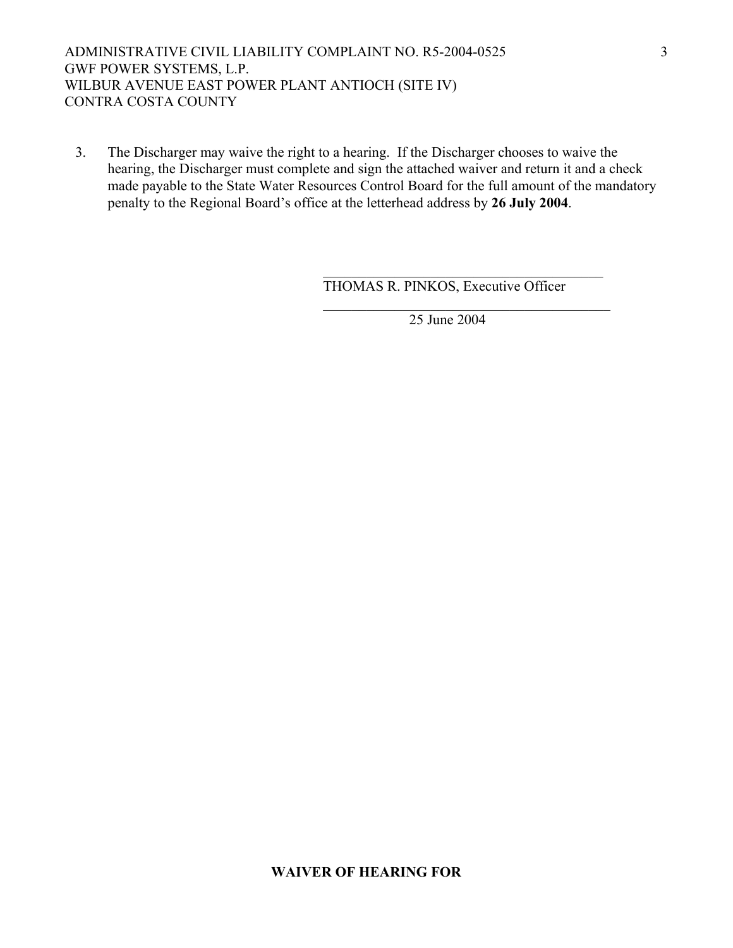ADMINISTRATIVE CIVIL LIABILITY COMPLAINT NO. R5-2004-0525 GWF POWER SYSTEMS, L.P. WILBUR AVENUE EAST POWER PLANT ANTIOCH (SITE IV) CONTRA COSTA COUNTY

3. The Discharger may waive the right to a hearing. If the Discharger chooses to waive the hearing, the Discharger must complete and sign the attached waiver and return it and a check made payable to the State Water Resources Control Board for the full amount of the mandatory penalty to the Regional Board's office at the letterhead address by **26 July 2004**.

 $\mathcal{L}_\mathcal{L} = \{ \mathcal{L}_\mathcal{L} = \{ \mathcal{L}_\mathcal{L} \} \cup \{ \mathcal{L}_\mathcal{L} = \{ \mathcal{L}_\mathcal{L} \} \cup \{ \mathcal{L}_\mathcal{L} = \{ \mathcal{L}_\mathcal{L} \} \cup \{ \mathcal{L}_\mathcal{L} = \{ \mathcal{L}_\mathcal{L} \} \cup \{ \mathcal{L}_\mathcal{L} = \{ \mathcal{L}_\mathcal{L} \} \cup \{ \mathcal{L}_\mathcal{L} = \{ \mathcal{L}_\mathcal{L} \} \cup \{ \mathcal{L}_\$ 

 $\mathcal{L}_\mathcal{L} = \{ \mathcal{L}_\mathcal{L} \mid \mathcal{L}_\mathcal{L} = \{ \mathcal{L}_\mathcal{L} \mid \mathcal{L}_\mathcal{L} = \{ \mathcal{L}_\mathcal{L} \mid \mathcal{L}_\mathcal{L} = \{ \mathcal{L}_\mathcal{L} \mid \mathcal{L}_\mathcal{L} = \{ \mathcal{L}_\mathcal{L} \mid \mathcal{L}_\mathcal{L} = \{ \mathcal{L}_\mathcal{L} \mid \mathcal{L}_\mathcal{L} = \{ \mathcal{L}_\mathcal{L} \mid \mathcal{L}_\mathcal{L} = \{ \math$ 

THOMAS R. PINKOS, Executive Officer

25 June 2004

#### **WAIVER OF HEARING FOR**